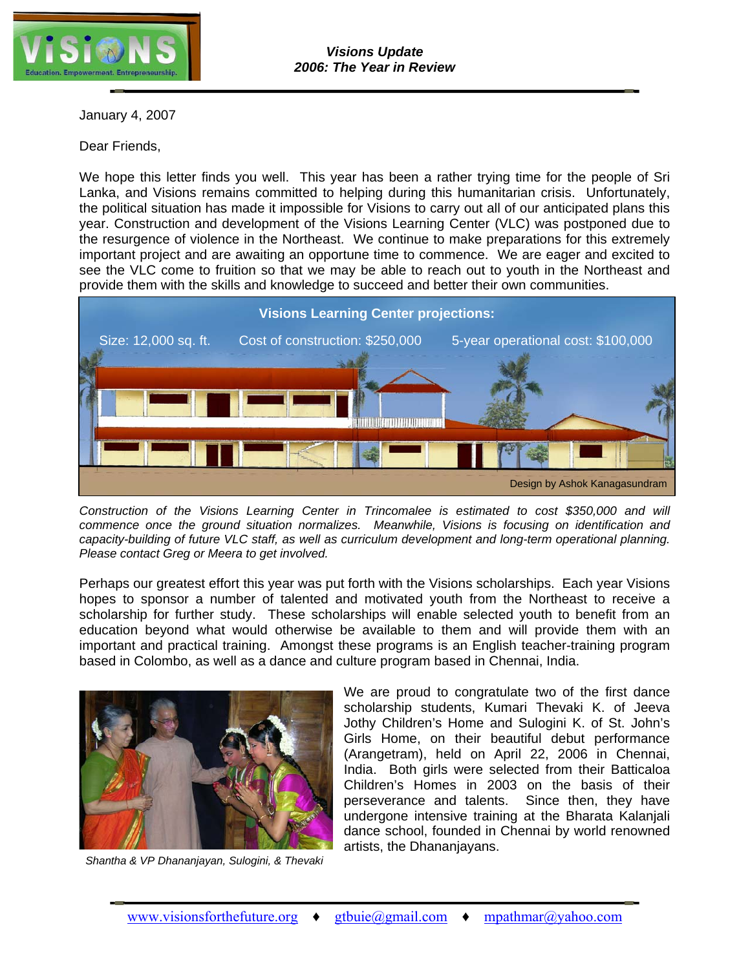

January 4, 2007

Dear Friends,

We hope this letter finds you well. This year has been a rather trying time for the people of Sri Lanka, and Visions remains committed to helping during this humanitarian crisis. Unfortunately, the political situation has made it impossible for Visions to carry out all of our anticipated plans this year. Construction and development of the Visions Learning Center (VLC) was postponed due to the resurgence of violence in the Northeast. We continue to make preparations for this extremely important project and are awaiting an opportune time to commence. We are eager and excited to see the VLC come to fruition so that we may be able to reach out to youth in the Northeast and provide them with the skills and knowledge to succeed and better their own communities.



*Construction of the Visions Learning Center in Trincomalee is estimated to cost \$350,000 and will commence once the ground situation normalizes. Meanwhile, Visions is focusing on identification and capacity-building of future VLC staff, as well as curriculum development and long-term operational planning. Please contact Greg or Meera to get involved.* 

Perhaps our greatest effort this year was put forth with the Visions scholarships. Each year Visions hopes to sponsor a number of talented and motivated youth from the Northeast to receive a scholarship for further study. These scholarships will enable selected youth to benefit from an education beyond what would otherwise be available to them and will provide them with an important and practical training. Amongst these programs is an English teacher-training program based in Colombo, as well as a dance and culture program based in Chennai, India.



*Shantha & VP Dhananjayan, Sulogini, & Thevaki*

We are proud to congratulate two of the first dance scholarship students, Kumari Thevaki K. of Jeeva Jothy Children's Home and Sulogini K. of St. John's Girls Home, on their beautiful debut performance (Arangetram), held on April 22, 2006 in Chennai, India. Both girls were selected from their Batticaloa Children's Homes in 2003 on the basis of their perseverance and talents. Since then, they have undergone intensive training at the Bharata Kalanjali dance school, founded in Chennai by world renowned artists, the Dhananjayans.